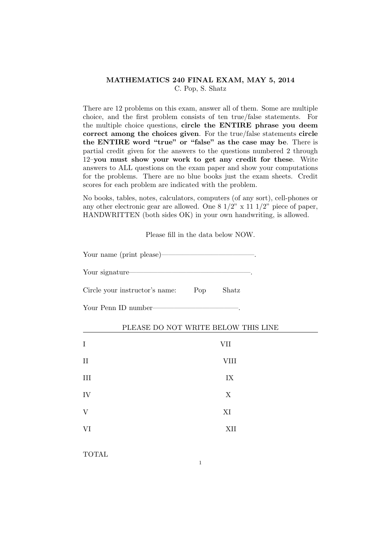## MATHEMATICS 240 FINAL EXAM, MAY 5, 2014 C. Pop, S. Shatz

There are 12 problems on this exam, answer all of them. Some are multiple choice, and the first problem consists of ten true/false statements. For the multiple choice questions, circle the ENTIRE phrase you deem correct among the choices given. For the true/false statements circle the ENTIRE word "true" or "false" as the case may be. There is partial credit given for the answers to the questions numbered 2 through 12–you must show your work to get any credit for these. Write answers to ALL questions on the exam paper and show your computations for the problems. There are no blue books just the exam sheets. Credit scores for each problem are indicated with the problem.

No books, tables, notes, calculators, computers (of any sort), cell-phones or any other electronic gear are allowed. One  $8 \frac{1}{2}$  x  $11 \frac{1}{2}$  piece of paper, HANDWRITTEN (both sides OK) in your own handwriting, is allowed.

Please fill in the data below NOW.

| Your signature Figure 2014               |             |  |
|------------------------------------------|-------------|--|
| Circle your instructor's name: Pop Shatz |             |  |
| Your Penn ID number-                     |             |  |
| PLEASE DO NOT WRITE BELOW THIS LINE      |             |  |
| I                                        | VII         |  |
| II                                       | <b>VIII</b> |  |
| III                                      | IX          |  |
| IV                                       | X           |  |
| $\overline{\mathrm{V}}$                  | XI          |  |
| VI                                       | XII         |  |
| <b>TOTAL</b>                             |             |  |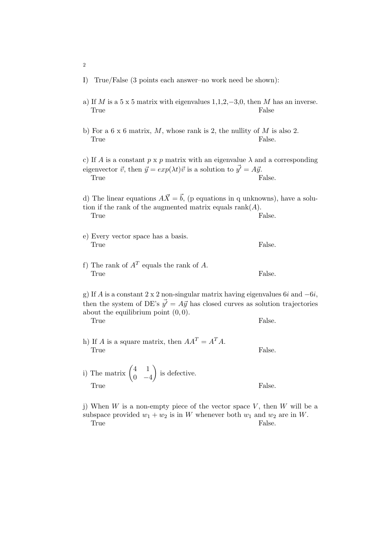- I) True/False (3 points each answer–no work need be shown):
- a) If M is a 5 x 5 matrix with eigenvalues  $1,1,2,-3,0$ , then M has an inverse. True False
- b) For a 6 x 6 matrix, M, whose rank is 2, the nullity of  $M$  is also 2. True False.

c) If A is a constant  $p \times p$  matrix with an eigenvalue  $\lambda$  and a corresponding eigenvector  $\vec{v}$ , then  $\vec{y} = exp(\lambda t)\vec{v}$  is a solution to  $\vec{y'} = A\vec{y}$ . True False.

d) The linear equations  $A\vec{X} = \vec{b}$ , (p equations in q unknowns), have a solution if the rank of the augmented matrix equals rank $(A)$ . True False.

- e) Every vector space has a basis. True False.
- f) The rank of  $A<sup>T</sup>$  equals the rank of A. True False.

g) If A is a constant 2 x 2 non-singular matrix having eigenvalues 6i and  $-6i$ , then the system of DE's  $\vec{y'} = A\vec{y}$  has closed curves as solution trajectories about the equilibrium point  $(0, 0)$ .

True False.

h) If A is a square matrix, then  $AA^T = A^T A$ . True False.

i) The matrix  $\begin{pmatrix} 4 & 1 \\ 0 & 1 \end{pmatrix}$  $0 -4$  is defective. True False.

j) When  $W$  is a non-empty piece of the vector space  $V$ , then  $W$  will be a subspace provided  $w_1 + w_2$  is in W whenever both  $w_1$  and  $w_2$  are in W. True False.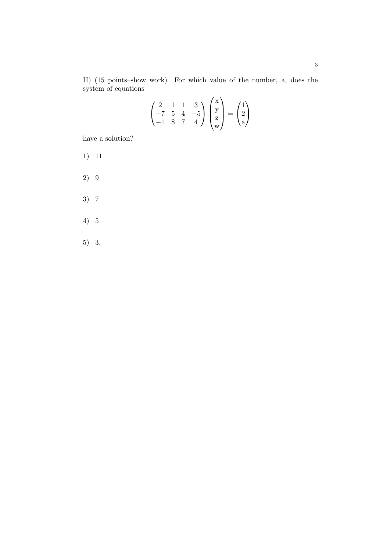II) (15 points–show work) For which value of the number, a, does the system of equations

$$
\begin{pmatrix} 2 & 1 & 1 & 3 \ -7 & 5 & 4 & -5 \ -1 & 8 & 7 & 4 \end{pmatrix} \begin{pmatrix} x \ y \ z \ w \end{pmatrix} = \begin{pmatrix} 1 \ 2 \ a \end{pmatrix}
$$

have a solution?

- 1) 11
- 2) 9
- 3) 7
- 4) 5
- 5) 3.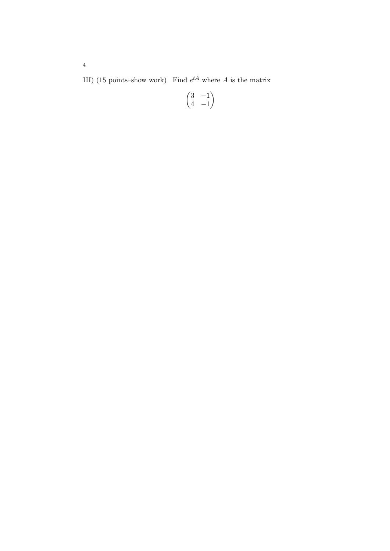III) (15 points–show work) Find  $e^{tA}$  where A is the matrix

$$
\begin{pmatrix} 3 & -1 \\ 4 & -1 \end{pmatrix}
$$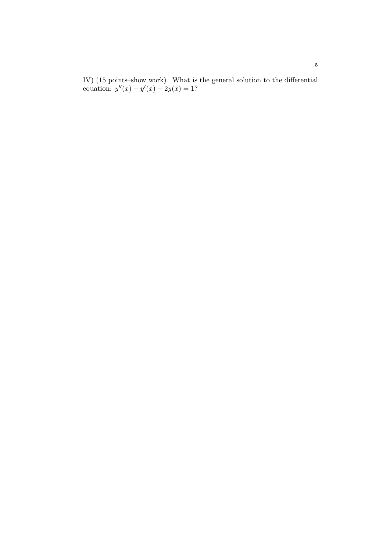IV) (15 points–show work) What is the general solution to the differential equation:  $y''(x) - y'(x) - 2y(x) = 1$ ?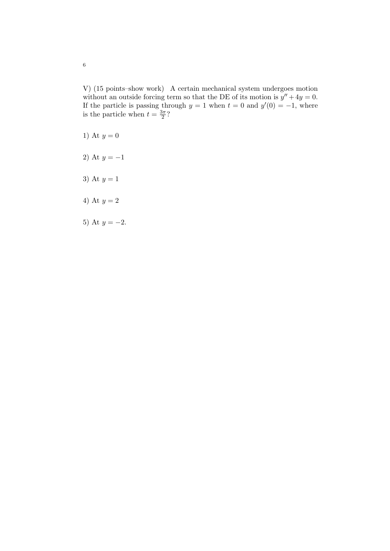V) (15 points–show work) A certain mechanical system undergoes motion without an outside forcing term so that the DE of its motion is  $y'' + 4y = 0$ . If the particle is passing through  $y = 1$  when  $t = 0$  and  $y'(0) = -1$ , where is the particle when  $t = \frac{3\pi}{2}$  $\frac{3\pi}{2}$ ?

- 1) At  $y = 0$
- 2) At  $y = -1$
- 3) At  $y = 1$
- 4) At  $y = 2$
- 5) At  $y = -2$ .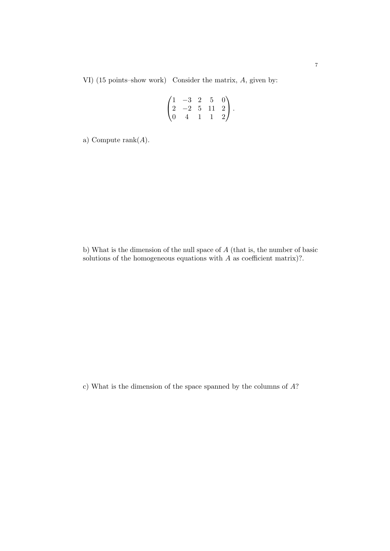VI) (15 points–show work) Consider the matrix, A, given by:

$$
\begin{pmatrix} 1 & -3 & 2 & 5 & 0 \ 2 & -2 & 5 & 11 & 2 \ 0 & 4 & 1 & 1 & 2 \end{pmatrix}.
$$

a) Compute  $\text{rank}(A)$ .

b) What is the dimension of the null space of A (that is, the number of basic solutions of the homogeneous equations with  $A$  as coefficient matrix)?.

c) What is the dimension of the space spanned by the columns of A?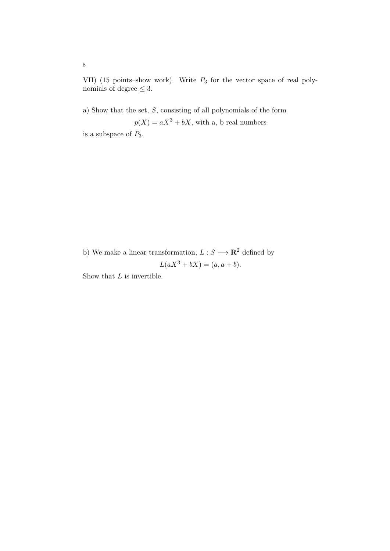VII) (15 points–show work) Write  $P_3$  for the vector space of real polynomials of degree  $\leq 3$ .

a) Show that the set, S, consisting of all polynomials of the form

 $p(X) = aX<sup>3</sup> + bX$ , with a, b real numbers

is a subspace of  $P_3$ .

b) We make a linear transformation,  $L : S \longrightarrow \mathbb{R}^2$  defined by  $L(aX^3 + bX) = (a, a + b).$ 

Show that  $L$  is invertible.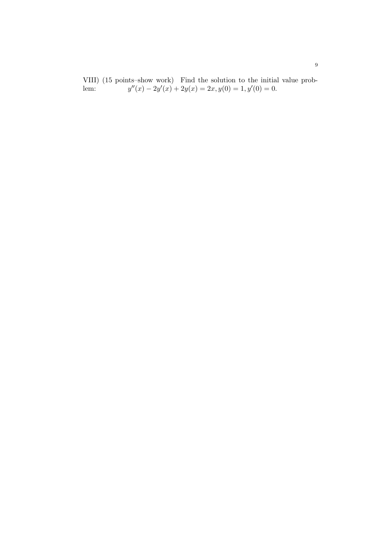VIII) (15 points–show work) Find the solution to the initial value problem:  $y''(x) - 2y'(x) + 2y(x) = 2x, y(0) = 1, y'(0) = 0.$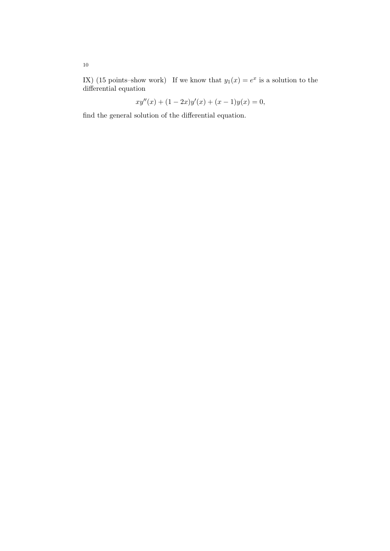IX) (15 points–show work) If we know that  $y_1(x) = e^x$  is a solution to the differential equation

$$
xy''(x) + (1 - 2x)y'(x) + (x - 1)y(x) = 0,
$$

find the general solution of the differential equation.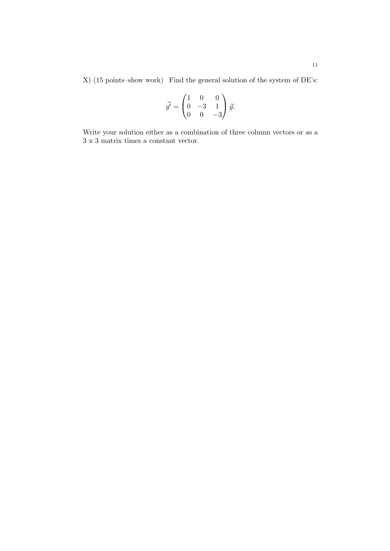X) (15 points–show work) Find the general solution of the system of DE's:

$$
\vec{y'} = \begin{pmatrix} 1 & 0 & 0 \\ 0 & -3 & 1 \\ 0 & 0 & -3 \end{pmatrix} \vec{y}.
$$

Write your solution either as a combination of three column vectors or as a 3 x 3 matrix times a constant vector.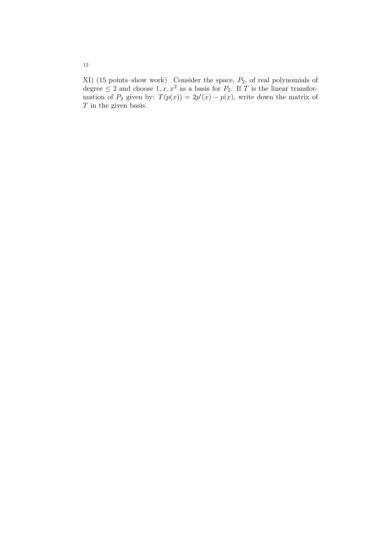$XI$ ) (15 points–show work) Consider the space,  $P_2$ , of real polynomials of degree  $\leq 2$  and choose  $1, x, x^2$  as a basis for  $P_2$ . If T is the linear transformation of  $P_2$  given by:  $T(p(x)) = 2p'(x) - p(x)$ , write down the matrix of T in the given basis.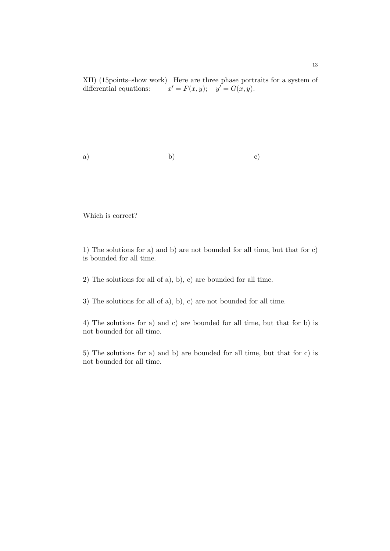XII) (15points–show work) Here are three phase portraits for a system of differential equations:  $y' = F(x, y);$   $y' = G(x, y).$ 

a) b) c)

Which is correct?

1) The solutions for a) and b) are not bounded for all time, but that for c) is bounded for all time.

2) The solutions for all of a), b), c) are bounded for all time.

3) The solutions for all of a), b), c) are not bounded for all time.

4) The solutions for a) and c) are bounded for all time, but that for b) is not bounded for all time.

5) The solutions for a) and b) are bounded for all time, but that for c) is not bounded for all time.